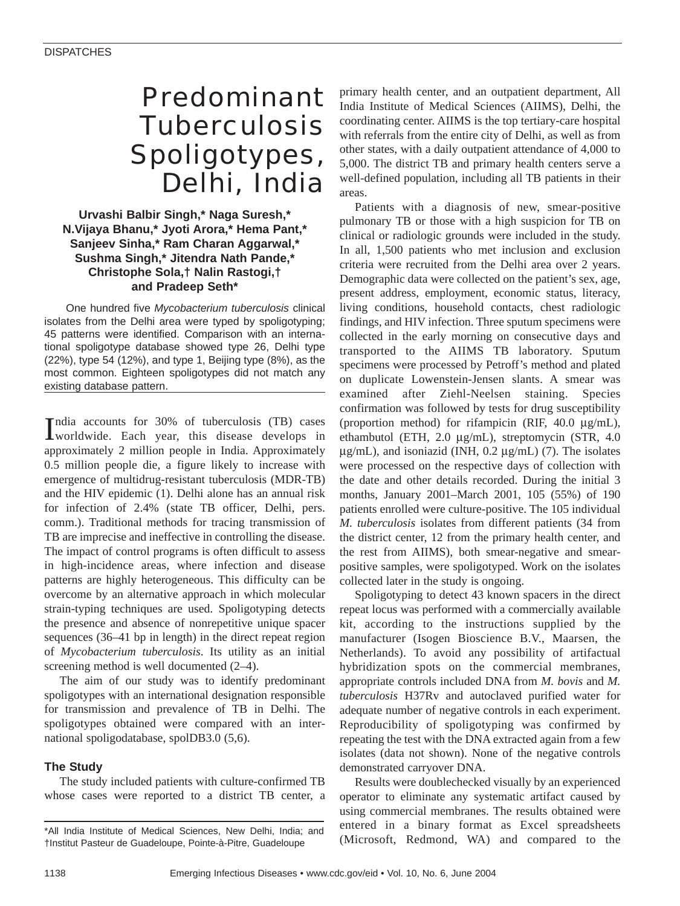# Predominant Tuberculosis Spoligotypes, Delhi, India

**Urvashi Balbir Singh,\* Naga Suresh,\* N.Vijaya Bhanu,\* Jyoti Arora,\* Hema Pant,\* Sanjeev Sinha,\* Ram Charan Aggarwal,\* Sushma Singh,\* Jitendra Nath Pande,\* Christophe Sola,† Nalin Rastogi,† and Pradeep Seth\*** 

One hundred five *Mycobacterium tuberculosis* clinical isolates from the Delhi area were typed by spoligotyping; 45 patterns were identified. Comparison with an international spoligotype database showed type 26, Delhi type (22%), type 54 (12%), and type 1, Beijing type (8%), as the most common. Eighteen spoligotypes did not match any existing database pattern.

India accounts for 30% of tuberculosis (TB) cases<br>worldwide. Each year, this disease develops in ndia accounts for 30% of tuberculosis (TB) cases approximately 2 million people in India. Approximately 0.5 million people die, a figure likely to increase with emergence of multidrug-resistant tuberculosis (MDR-TB) and the HIV epidemic (1). Delhi alone has an annual risk for infection of 2.4% (state TB officer, Delhi, pers. comm.). Traditional methods for tracing transmission of TB are imprecise and ineffective in controlling the disease. The impact of control programs is often difficult to assess in high-incidence areas, where infection and disease patterns are highly heterogeneous. This difficulty can be overcome by an alternative approach in which molecular strain-typing techniques are used. Spoligotyping detects the presence and absence of nonrepetitive unique spacer sequences (36–41 bp in length) in the direct repeat region of *Mycobacterium tuberculosis*. Its utility as an initial screening method is well documented (2–4).

The aim of our study was to identify predominant spoligotypes with an international designation responsible for transmission and prevalence of TB in Delhi. The spoligotypes obtained were compared with an international spoligodatabase, spolDB3.0 (5,6).

## **The Study**

The study included patients with culture-confirmed TB whose cases were reported to a district TB center, a primary health center, and an outpatient department, All India Institute of Medical Sciences (AIIMS), Delhi, the coordinating center. AIIMS is the top tertiary-care hospital with referrals from the entire city of Delhi, as well as from other states, with a daily outpatient attendance of 4,000 to 5,000. The district TB and primary health centers serve a well-defined population, including all TB patients in their areas.

Patients with a diagnosis of new, smear-positive pulmonary TB or those with a high suspicion for TB on clinical or radiologic grounds were included in the study. In all, 1,500 patients who met inclusion and exclusion criteria were recruited from the Delhi area over 2 years. Demographic data were collected on the patient's sex, age, present address, employment, economic status, literacy, living conditions, household contacts, chest radiologic findings, and HIV infection. Three sputum specimens were collected in the early morning on consecutive days and transported to the AIIMS TB laboratory. Sputum specimens were processed by Petroff's method and plated on duplicate Lowenstein-Jensen slants. A smear was examined after Ziehl-Neelsen staining. Species confirmation was followed by tests for drug susceptibility (proportion method) for rifampicin (RIF, 40.0 µg/mL), ethambutol (ETH, 2.0 µg/mL), streptomycin (STR, 4.0  $\mu$ g/mL), and isoniazid (INH, 0.2  $\mu$ g/mL) (7). The isolates were processed on the respective days of collection with the date and other details recorded. During the initial 3 months, January 2001–March 2001, 105 (55%) of 190 patients enrolled were culture-positive. The 105 individual *M. tuberculosis* isolates from different patients (34 from the district center, 12 from the primary health center, and the rest from AIIMS), both smear-negative and smearpositive samples, were spoligotyped. Work on the isolates collected later in the study is ongoing.

Spoligotyping to detect 43 known spacers in the direct repeat locus was performed with a commercially available kit, according to the instructions supplied by the manufacturer (Isogen Bioscience B.V., Maarsen, the Netherlands). To avoid any possibility of artifactual hybridization spots on the commercial membranes, appropriate controls included DNA from *M. bovis* and *M. tuberculosis* H37Rv and autoclaved purified water for adequate number of negative controls in each experiment. Reproducibility of spoligotyping was confirmed by repeating the test with the DNA extracted again from a few isolates (data not shown). None of the negative controls demonstrated carryover DNA.

Results were doublechecked visually by an experienced operator to eliminate any systematic artifact caused by using commercial membranes. The results obtained were entered in a binary format as Excel spreadsheets (Microsoft, Redmond, WA) and compared to the

<sup>\*</sup>All India Institute of Medical Sciences, New Delhi, India; and †Institut Pasteur de Guadeloupe, Pointe-à-Pitre, Guadeloupe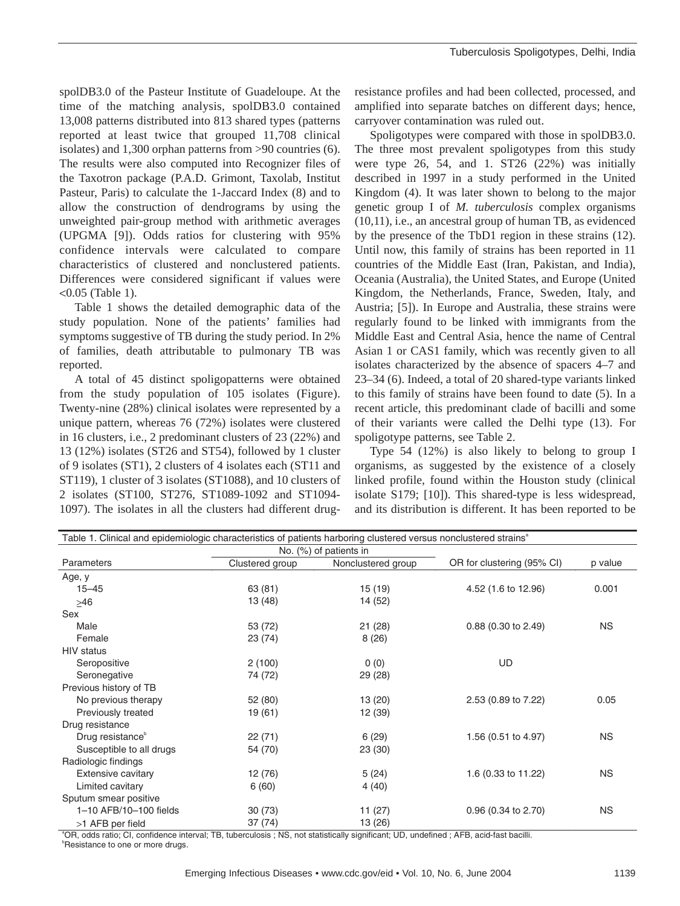spolDB3.0 of the Pasteur Institute of Guadeloupe. At the time of the matching analysis, spolDB3.0 contained 13,008 patterns distributed into 813 shared types (patterns reported at least twice that grouped 11,708 clinical isolates) and 1,300 orphan patterns from >90 countries (6). The results were also computed into Recognizer files of the Taxotron package (P.A.D. Grimont, Taxolab, Institut Pasteur, Paris) to calculate the 1-Jaccard Index (8) and to allow the construction of dendrograms by using the unweighted pair-group method with arithmetic averages (UPGMA [9]). Odds ratios for clustering with 95% confidence intervals were calculated to compare characteristics of clustered and nonclustered patients. Differences were considered significant if values were <0.05 (Table 1).

Table 1 shows the detailed demographic data of the study population. None of the patients' families had symptoms suggestive of TB during the study period. In 2% of families, death attributable to pulmonary TB was reported.

A total of 45 distinct spoligopatterns were obtained from the study population of 105 isolates (Figure). Twenty-nine (28%) clinical isolates were represented by a unique pattern, whereas 76 (72%) isolates were clustered in 16 clusters, i.e., 2 predominant clusters of 23 (22%) and 13 (12%) isolates (ST26 and ST54), followed by 1 cluster of 9 isolates (ST1), 2 clusters of 4 isolates each (ST11 and ST119), 1 cluster of 3 isolates (ST1088), and 10 clusters of 2 isolates (ST100, ST276, ST1089-1092 and ST1094- 1097). The isolates in all the clusters had different drug-

resistance profiles and had been collected, processed, and amplified into separate batches on different days; hence, carryover contamination was ruled out.

Spoligotypes were compared with those in spolDB3.0. The three most prevalent spoligotypes from this study were type 26, 54, and 1. ST26 (22%) was initially described in 1997 in a study performed in the United Kingdom (4). It was later shown to belong to the major genetic group I of *M. tuberculosis* complex organisms (10,11), i.e., an ancestral group of human TB, as evidenced by the presence of the TbD1 region in these strains (12). Until now, this family of strains has been reported in 11 countries of the Middle East (Iran, Pakistan, and India), Oceania (Australia), the United States, and Europe (United Kingdom, the Netherlands, France, Sweden, Italy, and Austria; [5]). In Europe and Australia, these strains were regularly found to be linked with immigrants from the Middle East and Central Asia, hence the name of Central Asian 1 or CAS1 family, which was recently given to all isolates characterized by the absence of spacers 4–7 and 23–34 (6). Indeed, a total of 20 shared-type variants linked to this family of strains have been found to date (5). In a recent article, this predominant clade of bacilli and some of their variants were called the Delhi type (13). For spoligotype patterns, see Table 2.

Type 54 (12%) is also likely to belong to group I organisms, as suggested by the existence of a closely linked profile, found within the Houston study (clinical isolate S179; [10]). This shared-type is less widespread, and its distribution is different. It has been reported to be

| Table 1. Clinical and epidemiologic characteristics of patients harboring clustered versus nonclustered strains <sup>ª</sup> |                 |                        |                            |           |  |  |
|------------------------------------------------------------------------------------------------------------------------------|-----------------|------------------------|----------------------------|-----------|--|--|
|                                                                                                                              |                 | No. (%) of patients in |                            | p value   |  |  |
| Parameters                                                                                                                   | Clustered group | Nonclustered group     | OR for clustering (95% CI) |           |  |  |
| Age, y                                                                                                                       |                 |                        |                            |           |  |  |
| $15 - 45$                                                                                                                    | 63 (81)         | 15 (19)                | 4.52 (1.6 to 12.96)        | 0.001     |  |  |
| $\geq 46$                                                                                                                    | 13 (48)         | 14 (52)                |                            |           |  |  |
| Sex                                                                                                                          |                 |                        |                            |           |  |  |
| Male                                                                                                                         | 53 (72)         | 21(28)                 | 0.88 (0.30 to 2.49)        | <b>NS</b> |  |  |
| Female                                                                                                                       | 23 (74)         | 8(26)                  |                            |           |  |  |
| <b>HIV</b> status                                                                                                            |                 |                        |                            |           |  |  |
| Seropositive                                                                                                                 | 2(100)          | 0(0)                   | UD                         |           |  |  |
| Seronegative                                                                                                                 | 74 (72)         | 29 (28)                |                            |           |  |  |
| Previous history of TB                                                                                                       |                 |                        |                            |           |  |  |
| No previous therapy                                                                                                          | 52 (80)         | 13(20)                 | 2.53 (0.89 to 7.22)        | 0.05      |  |  |
| Previously treated                                                                                                           | 19 (61)         | 12 (39)                |                            |           |  |  |
| Drug resistance                                                                                                              |                 |                        |                            |           |  |  |
| Drug resistance <sup>b</sup>                                                                                                 | 22(71)          | 6(29)                  | 1.56 (0.51 to 4.97)        | <b>NS</b> |  |  |
| Susceptible to all drugs                                                                                                     | 54 (70)         | 23 (30)                |                            |           |  |  |
| Radiologic findings                                                                                                          |                 |                        |                            |           |  |  |
| Extensive cavitary                                                                                                           | 12 (76)         | 5(24)                  | 1.6 (0.33 to 11.22)        | <b>NS</b> |  |  |
| Limited cavitary                                                                                                             | 6(60)           | 4(40)                  |                            |           |  |  |
| Sputum smear positive                                                                                                        |                 |                        |                            |           |  |  |
| 1-10 AFB/10-100 fields                                                                                                       | 30(73)          | 11 (27)                | 0.96 (0.34 to 2.70)        | <b>NS</b> |  |  |
| >1 AFB per field                                                                                                             | 37(74)          | 13 (26)                |                            |           |  |  |

a OR, odds ratio; CI, confidence interval; TB, tuberculosis ; NS, not statistically significant; UD, undefined ; AFB, acid-fast bacilli. <sup>b</sup>Resistance to one or more drugs.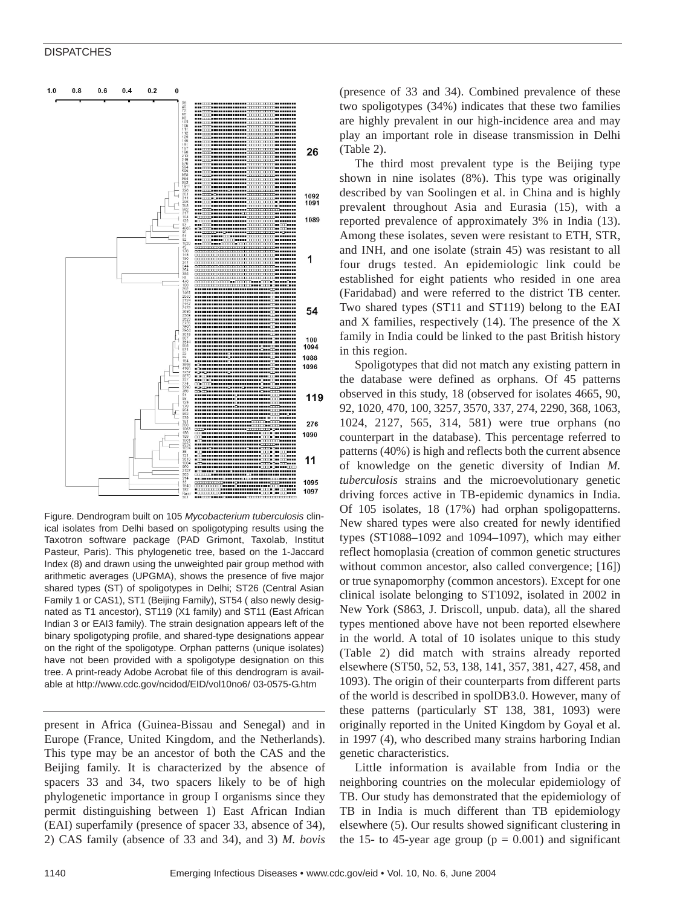#### **DISPATCHES**



Figure. Dendrogram built on 105 *Mycobacterium tuberculosis* clinical isolates from Delhi based on spoligotyping results using the Taxotron software package (PAD Grimont, Taxolab, Institut Pasteur, Paris). This phylogenetic tree, based on the 1-Jaccard Index (8) and drawn using the unweighted pair group method with arithmetic averages (UPGMA), shows the presence of five major shared types (ST) of spoligotypes in Delhi; ST26 (Central Asian Family 1 or CAS1), ST1 (Beijing Family), ST54 ( also newly designated as T1 ancestor), ST119 (X1 family) and ST11 (East African Indian 3 or EAI3 family). The strain designation appears left of the binary spoligotyping profile, and shared-type designations appear on the right of the spoligotype. Orphan patterns (unique isolates) have not been provided with a spoligotype designation on this tree. A print-ready Adobe Acrobat file of this dendrogram is available at http://www.cdc.gov/ncidod/EID/vol10no6/ 03-0575-G.htm

present in Africa (Guinea-Bissau and Senegal) and in Europe (France, United Kingdom, and the Netherlands). This type may be an ancestor of both the CAS and the Beijing family. It is characterized by the absence of spacers 33 and 34, two spacers likely to be of high phylogenetic importance in group I organisms since they permit distinguishing between 1) East African Indian (EAI) superfamily (presence of spacer 33, absence of 34), 2) CAS family (absence of 33 and 34), and 3) *M. bovis*

(presence of 33 and 34). Combined prevalence of these two spoligotypes (34%) indicates that these two families are highly prevalent in our high-incidence area and may play an important role in disease transmission in Delhi (Table 2).

The third most prevalent type is the Beijing type shown in nine isolates (8%). This type was originally described by van Soolingen et al. in China and is highly prevalent throughout Asia and Eurasia (15), with a reported prevalence of approximately 3% in India (13). Among these isolates, seven were resistant to ETH, STR, and INH, and one isolate (strain 45) was resistant to all four drugs tested. An epidemiologic link could be established for eight patients who resided in one area (Faridabad) and were referred to the district TB center. Two shared types (ST11 and ST119) belong to the EAI and X families, respectively (14). The presence of the X family in India could be linked to the past British history in this region.

Spoligotypes that did not match any existing pattern in the database were defined as orphans. Of 45 patterns observed in this study, 18 (observed for isolates 4665, 90, 92, 1020, 470, 100, 3257, 3570, 337, 274, 2290, 368, 1063, 1024, 2127, 565, 314, 581) were true orphans (no counterpart in the database). This percentage referred to patterns (40%) is high and reflects both the current absence of knowledge on the genetic diversity of Indian *M. tuberculosis* strains and the microevolutionary genetic driving forces active in TB-epidemic dynamics in India. Of 105 isolates, 18 (17%) had orphan spoligopatterns. New shared types were also created for newly identified types (ST1088–1092 and 1094–1097), which may either reflect homoplasia (creation of common genetic structures without common ancestor, also called convergence; [16]) or true synapomorphy (common ancestors). Except for one clinical isolate belonging to ST1092, isolated in 2002 in New York (S863, J. Driscoll, unpub. data), all the shared types mentioned above have not been reported elsewhere in the world. A total of 10 isolates unique to this study (Table 2) did match with strains already reported elsewhere (ST50, 52, 53, 138, 141, 357, 381, 427, 458, and 1093). The origin of their counterparts from different parts of the world is described in spolDB3.0. However, many of these patterns (particularly ST 138, 381, 1093) were originally reported in the United Kingdom by Goyal et al. in 1997 (4), who described many strains harboring Indian genetic characteristics.

Little information is available from India or the neighboring countries on the molecular epidemiology of TB. Our study has demonstrated that the epidemiology of TB in India is much different than TB epidemiology elsewhere (5). Our results showed significant clustering in the 15- to 45-year age group ( $p = 0.001$ ) and significant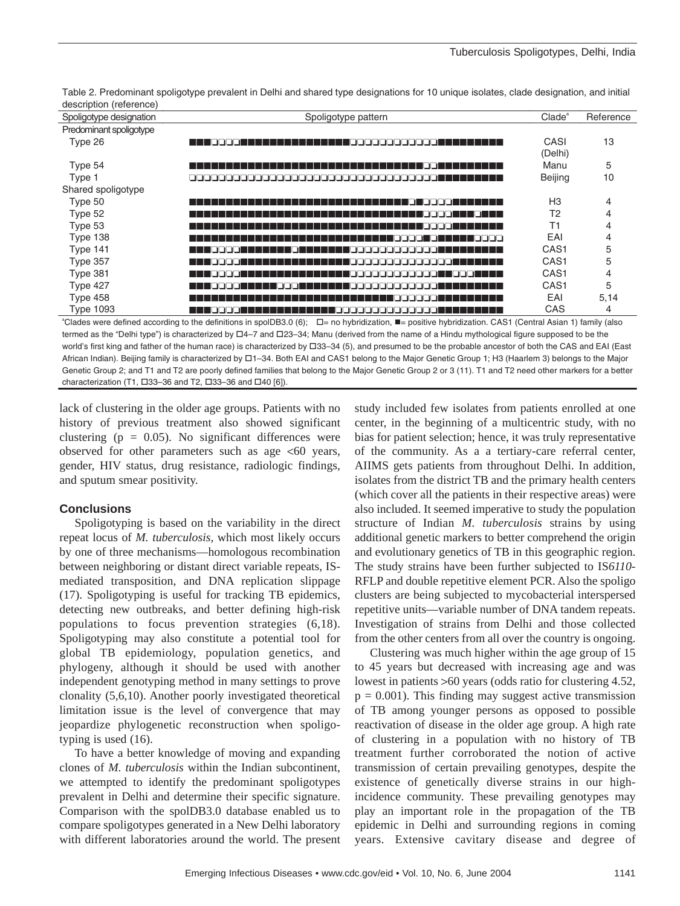|                         | Table 2. Predominant spoligotype prevalent in Delhi and shared type designations for 10 unique isolates, clade designation, and initial |  |  |  |
|-------------------------|-----------------------------------------------------------------------------------------------------------------------------------------|--|--|--|
| description (reference) |                                                                                                                                         |  |  |  |

| Spoligotype designation | Spoligotype pattern                                                                                                                                                                        | $C$ lade $a$     | Reference |
|-------------------------|--------------------------------------------------------------------------------------------------------------------------------------------------------------------------------------------|------------------|-----------|
| Predominant spoligotype |                                                                                                                                                                                            |                  |           |
| Type 26                 | HH DOODI<br>1 1 1 1 000000000000<br>- 11                                                                                                                                                   | CASI             | 13        |
|                         |                                                                                                                                                                                            | (Delhi)          |           |
| Type 54                 | .                                                                                                                                                                                          | Manu             | 5         |
| Type 1                  |                                                                                                                                                                                            | Beijing          | 10        |
| Shared spoligotype      |                                                                                                                                                                                            |                  |           |
| Type 50                 | ורברו ברו                                                                                                                                                                                  | H <sub>3</sub>   | 4         |
| Type 52                 | .                                                                                                                                                                                          | T <sub>2</sub>   | 4         |
| Type 53                 |                                                                                                                                                                                            | T1               | 4         |
| Type 138                | רבבם<br>.                                                                                                                                                                                  | EAI              | 4         |
| Type 141                | .                                                                                                                                                                                          | CAS <sub>1</sub> | 5         |
| Type 357                | .                                                                                                                                                                                          | CAS <sub>1</sub> | 5         |
| Type 381                | .                                                                                                                                                                                          | CAS <sub>1</sub> | 4         |
| Type 427                | .<br>امموموموسية المستحلة<br>.                                                                                                                                                             | CAS <sub>1</sub> | 5         |
| Type 458                | .                                                                                                                                                                                          | EAI              | 5,14      |
| <b>Type 1093</b>        | الاناتات وولايات بالاتات<br>الحالحات                                                                                                                                                       | CAS              | 4         |
|                         | <sup>a</sup> Clades were defined according to the definitions in spoIDB3.0 (6); $\square$ = no hybridization, $\blacksquare$ = positive hybridization. CAS1 (Central Asian 1) family (also |                  |           |

termed as the "Delhi type") is characterized by  $\Box 4$ -7 and  $\Box 23$ -34; Manu (derived from the name of a Hindu mythological figure supposed to be the world's first king and father of the human race) is characterized by  $\Box$ 33-34 (5), and presumed to be the probable ancestor of both the CAS and EAI (East African Indian). Beijing family is characterized by  $\Box$ 1-34. Both EAI and CAS1 belong to the Major Genetic Group 1; H3 (Haarlem 3) belongs to the Major Genetic Group 2; and T1 and T2 are poorly defined families that belong to the Major Genetic Group 2 or 3 (11). T1 and T2 need other markers for a better characterization (T1,  $\Box$ 33-36 and T2,  $\Box$ 33-36 and  $\Box$ 40 [6]).

lack of clustering in the older age groups. Patients with no history of previous treatment also showed significant clustering ( $p = 0.05$ ). No significant differences were observed for other parameters such as age  $<60$  years, gender, HIV status, drug resistance, radiologic findings, and sputum smear positivity.

## **Conclusions**

Spoligotyping is based on the variability in the direct repeat locus of *M. tuberculosis,* which most likely occurs by one of three mechanisms—homologous recombination between neighboring or distant direct variable repeats, ISmediated transposition, and DNA replication slippage (17). Spoligotyping is useful for tracking TB epidemics, detecting new outbreaks, and better defining high-risk populations to focus prevention strategies (6,18). Spoligotyping may also constitute a potential tool for global TB epidemiology, population genetics, and phylogeny, although it should be used with another independent genotyping method in many settings to prove clonality (5,6,10). Another poorly investigated theoretical limitation issue is the level of convergence that may jeopardize phylogenetic reconstruction when spoligotyping is used (16).

To have a better knowledge of moving and expanding clones of *M. tuberculosis* within the Indian subcontinent, we attempted to identify the predominant spoligotypes prevalent in Delhi and determine their specific signature. Comparison with the spolDB3.0 database enabled us to compare spoligotypes generated in a New Delhi laboratory with different laboratories around the world. The present

study included few isolates from patients enrolled at one center, in the beginning of a multicentric study, with no bias for patient selection; hence, it was truly representative of the community. As a a tertiary-care referral center, AIIMS gets patients from throughout Delhi. In addition, isolates from the district TB and the primary health centers (which cover all the patients in their respective areas) were also included. It seemed imperative to study the population structure of Indian *M. tuberculosis* strains by using additional genetic markers to better comprehend the origin and evolutionary genetics of TB in this geographic region. The study strains have been further subjected to IS*6110-* RFLP and double repetitive element PCR. Also the spoligo clusters are being subjected to mycobacterial interspersed repetitive units—variable number of DNA tandem repeats. Investigation of strains from Delhi and those collected from the other centers from all over the country is ongoing.

Clustering was much higher within the age group of 15 to 45 years but decreased with increasing age and was lowest in patients >60 years (odds ratio for clustering 4.52,  $p = 0.001$ ). This finding may suggest active transmission of TB among younger persons as opposed to possible reactivation of disease in the older age group. A high rate of clustering in a population with no history of TB treatment further corroborated the notion of active transmission of certain prevailing genotypes, despite the existence of genetically diverse strains in our highincidence community. These prevailing genotypes may play an important role in the propagation of the TB epidemic in Delhi and surrounding regions in coming years. Extensive cavitary disease and degree of